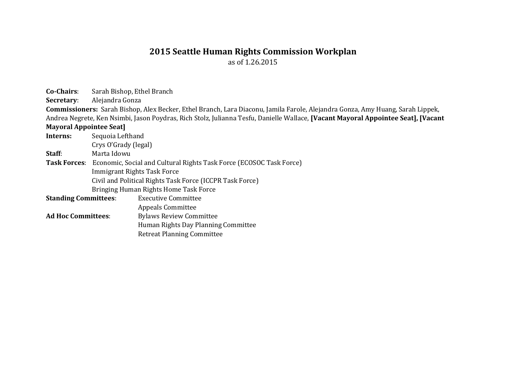## **2015 Seattle Human Rights Commission Workplan**

as of 1.26.2015

**Co-Chairs**: Sarah Bishop, Ethel Branch

**Secretary**: Alejandra Gonza

**Commissioners:** Sarah Bishop, Alex Becker, Ethel Branch, Lara Diaconu, Jamila Farole, Alejandra Gonza, Amy Huang, Sarah Lippek, Andrea Negrete, Ken Nsimbi, Jason Poydras, Rich Stolz, Julianna Tesfu, Danielle Wallace, **[Vacant Mayoral Appointee Seat], [Vacant**

## **Mayoral Appointee Seat]**

**Interns:** Sequoia Lefthand Crys O'Grady (legal) **Staff**: Marta Idowu **Task Forces**: Economic, Social and Cultural Rights Task Force (ECOSOC Task Force) Immigrant Rights Task Force Civil and Political Rights Task Force (ICCPR Task Force) Bringing Human Rights Home Task Force **Standing Committees:** Executive Committee

| Appeals Committee |
|-------------------|
| nin : a           |

**Ad Hoc Committees**: Bylaws Review Committee Human Rights Day Planning Committee Retreat Planning Committee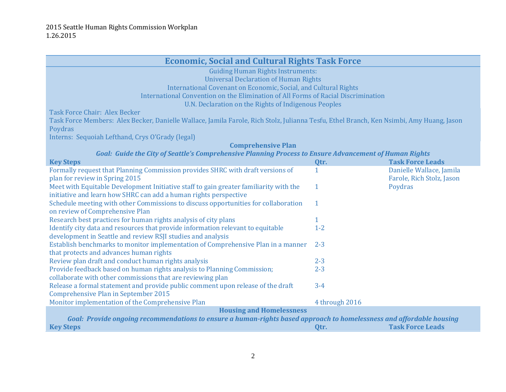| <b>Economic, Social and Cultural Rights Task Force</b>                                                                                   |                |                           |
|------------------------------------------------------------------------------------------------------------------------------------------|----------------|---------------------------|
| <b>Guiding Human Rights Instruments:</b>                                                                                                 |                |                           |
| <b>Universal Declaration of Human Rights</b>                                                                                             |                |                           |
| International Covenant on Economic, Social, and Cultural Rights                                                                          |                |                           |
| International Convention on the Elimination of All Forms of Racial Discrimination                                                        |                |                           |
| U.N. Declaration on the Rights of Indigenous Peoples                                                                                     |                |                           |
| <b>Task Force Chair: Alex Becker</b>                                                                                                     |                |                           |
| Task Force Members: Alex Becker, Danielle Wallace, Jamila Farole, Rich Stolz, Julianna Tesfu, Ethel Branch, Ken Nsimbi, Amy Huang, Jason |                |                           |
| Poydras                                                                                                                                  |                |                           |
| Interns: Sequoiah Lefthand, Crys O'Grady (legal)                                                                                         |                |                           |
| <b>Comprehensive Plan</b>                                                                                                                |                |                           |
| Goal: Guide the City of Seattle's Comprehensive Planning Process to Ensure Advancement of Human Rights                                   |                |                           |
| <b>Key Steps</b>                                                                                                                         | Qtr.           | <b>Task Force Leads</b>   |
| Formally request that Planning Commission provides SHRC with draft versions of                                                           | 1              | Danielle Wallace, Jamila  |
| plan for review in Spring 2015                                                                                                           |                | Farole, Rich Stolz, Jason |
|                                                                                                                                          | $\mathbf{1}$   |                           |
| Meet with Equitable Development Initiative staff to gain greater familiarity with the                                                    |                | Poydras                   |
| initiative and learn how SHRC can add a human rights perspective                                                                         |                |                           |
| Schedule meeting with other Commissions to discuss opportunities for collaboration                                                       | $\mathbf{1}$   |                           |
| on review of Comprehensive Plan                                                                                                          |                |                           |
| Research best practices for human rights analysis of city plans                                                                          | $\mathbf{1}$   |                           |
| Identify city data and resources that provide information relevant to equitable                                                          | $1 - 2$        |                           |
| development in Seattle and review RSJI studies and analysis                                                                              |                |                           |
| Establish benchmarks to monitor implementation of Comprehensive Plan in a manner                                                         | $2 - 3$        |                           |
| that protects and advances human rights                                                                                                  |                |                           |
| Review plan draft and conduct human rights analysis                                                                                      | $2 - 3$        |                           |
| Provide feedback based on human rights analysis to Planning Commission;                                                                  | $2 - 3$        |                           |
| collaborate with other commissions that are reviewing plan                                                                               |                |                           |
| Release a formal statement and provide public comment upon release of the draft                                                          | $3 - 4$        |                           |
| <b>Comprehensive Plan in September 2015</b>                                                                                              |                |                           |
| Monitor implementation of the Comprehensive Plan                                                                                         | 4 through 2016 |                           |
| <b>Housing and Homelessness</b>                                                                                                          |                |                           |
| Goal: Provide ongoing recommendations to ensure a human-rights based approach to homelessness and affordable housing                     |                |                           |
| <b>Key Steps</b>                                                                                                                         | Qtr.           | <b>Task Force Leads</b>   |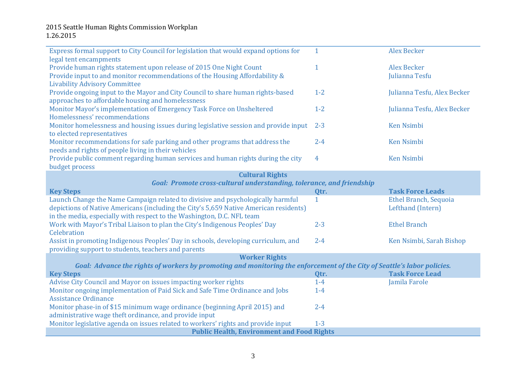## 2015 Seattle Human Rights Commission Workplan 1.26.2015

| Express formal support to City Council for legislation that would expand options for                                                   | $\mathbf{1}$   | <b>Alex Becker</b>           |
|----------------------------------------------------------------------------------------------------------------------------------------|----------------|------------------------------|
| legal tent encampments                                                                                                                 |                |                              |
| Provide human rights statement upon release of 2015 One Night Count                                                                    | $\mathbf{1}$   | <b>Alex Becker</b>           |
| Provide input to and monitor recommendations of the Housing Affordability &                                                            |                | Julianna Tesfu               |
| <b>Livability Advisory Committee</b>                                                                                                   |                |                              |
| Provide ongoing input to the Mayor and City Council to share human rights-based                                                        | $1 - 2$        | Julianna Tesfu, Alex Becker  |
| approaches to affordable housing and homelessness                                                                                      |                |                              |
| Monitor Mayor's implementation of Emergency Task Force on Unsheltered                                                                  | $1 - 2$        | Julianna Tesfu, Alex Becker  |
| Homelessness' recommendations                                                                                                          |                |                              |
| Monitor homelessness and housing issues during legislative session and provide input                                                   | $2 - 3$        | <b>Ken Nsimbi</b>            |
| to elected representatives                                                                                                             |                |                              |
| Monitor recommendations for safe parking and other programs that address the                                                           | $2 - 4$        | <b>Ken Nsimbi</b>            |
| needs and rights of people living in their vehicles                                                                                    |                |                              |
| Provide public comment regarding human services and human rights during the city                                                       | $\overline{4}$ | <b>Ken Nsimbi</b>            |
| budget process                                                                                                                         |                |                              |
| <b>Cultural Rights</b>                                                                                                                 |                |                              |
| Goal: Promote cross-cultural understanding, tolerance, and friendship                                                                  |                |                              |
| <b>Key Steps</b>                                                                                                                       | Qtr.           | <b>Task Force Leads</b>      |
| Launch Change the Name Campaign related to divisive and psychologically harmful                                                        | $\mathbf{1}$   | <b>Ethel Branch, Sequoia</b> |
| depictions of Native Americans (including the City's 5,659 Native American residents)                                                  |                | Lefthand (Intern)            |
| in the media, especially with respect to the Washington, D.C. NFL team                                                                 |                |                              |
| Work with Mayor's Tribal Liaison to plan the City's Indigenous Peoples' Day                                                            | $2 - 3$        | <b>Ethel Branch</b>          |
| Celebration                                                                                                                            |                |                              |
| Assist in promoting Indigenous Peoples' Day in schools, developing curriculum, and                                                     | $2 - 4$        | Ken Nsimbi, Sarah Bishop     |
| providing support to students, teachers and parents                                                                                    |                |                              |
|                                                                                                                                        |                |                              |
| <b>Worker Rights</b>                                                                                                                   |                |                              |
| Goal: Advance the rights of workers by promoting and monitoring the enforcement of the City of Seattle's labor policies.               |                |                              |
| <b>Key Steps</b>                                                                                                                       | Qtr.           | <b>Task Force Lead</b>       |
| Advise City Council and Mayor on issues impacting worker rights                                                                        | $1-4$          | Jamila Farole                |
| Monitor ongoing implementation of Paid Sick and Safe Time Ordinance and Jobs                                                           | $1-4$          |                              |
| <b>Assistance Ordinance</b>                                                                                                            |                |                              |
| Monitor phase-in of \$15 minimum wage ordinance (beginning April 2015) and                                                             | $2 - 4$        |                              |
| administrative wage theft ordinance, and provide input                                                                                 |                |                              |
| Monitor legislative agenda on issues related to workers' rights and provide input<br><b>Public Health, Environment and Food Rights</b> | $1-3$          |                              |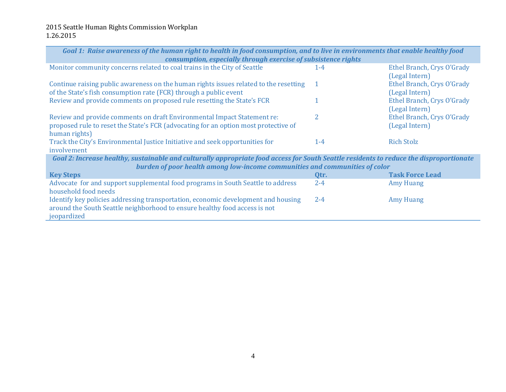| Goal 1: Raise awareness of the human right to health in food consumption, and to live in environments that enable healthy food<br>consumption, especially through exercise of subsistence rights                       |                |                                              |  |
|------------------------------------------------------------------------------------------------------------------------------------------------------------------------------------------------------------------------|----------------|----------------------------------------------|--|
| Monitor community concerns related to coal trains in the City of Seattle                                                                                                                                               | $1 - 4$        | Ethel Branch, Crys O'Grady                   |  |
| Continue raising public awareness on the human rights issues related to the resetting                                                                                                                                  | $\overline{1}$ | (Legal Intern)<br>Ethel Branch, Crys O'Grady |  |
| of the State's fish consumption rate (FCR) through a public event<br>Review and provide comments on proposed rule resetting the State's FCR                                                                            |                | (Legal Intern)                               |  |
|                                                                                                                                                                                                                        |                | Ethel Branch, Crys O'Grady<br>(Legal Intern) |  |
| Review and provide comments on draft Environmental Impact Statement re:                                                                                                                                                | 2              | Ethel Branch, Crys O'Grady                   |  |
| proposed rule to reset the State's FCR (advocating for an option most protective of<br>human rights)                                                                                                                   |                | (Legal Intern)                               |  |
| Track the City's Environmental Justice Initiative and seek opportunities for<br>involvement                                                                                                                            | $1 - 4$        | <b>Rich Stolz</b>                            |  |
| Goal 2: Increase healthy, sustainable and culturally appropriate food access for South Seattle residents to reduce the disproportionate<br>burden of poor health among low-income communities and communities of color |                |                                              |  |
| <b>Key Steps</b>                                                                                                                                                                                                       | Qtr.           | <b>Task Force Lead</b>                       |  |
| Advocate for and support supplemental food programs in South Seattle to address<br>household food needs                                                                                                                | $2 - 4$        | <b>Amy Huang</b>                             |  |
| Identify key policies addressing transportation, economic development and housing<br>around the South Seattle neighborhood to ensure healthy food access is not<br>jeopardized                                         | $2 - 4$        | <b>Amy Huang</b>                             |  |
|                                                                                                                                                                                                                        |                |                                              |  |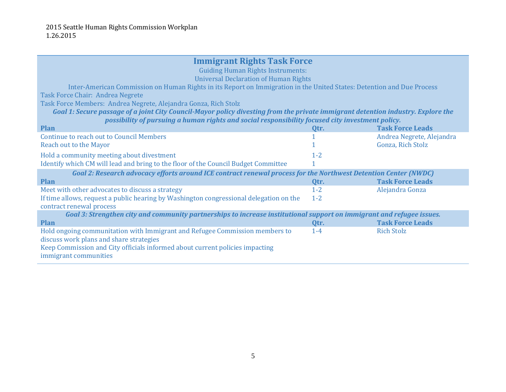## **Immigrant Rights Task Force**

Guiding Human Rights Instruments:

Universal Declaration of Human Rights

Inter-American Commission on Human Rights in its Report on Immigration in the United States: Detention and Due Process Task Force Chair: Andrea Negrete

Task Force Members: Andrea Negrete, Alejandra Gonza, Rich Stolz

*Goal 1: Secure passage of a joint City Council-Mayor policy divesting from the private immigrant detention industry. Explore the possibility of pursuing a human rights and social responsibility focused city investment policy.*

| <b>Plan</b>                                                                                                           | Qtr.    | <b>Task Force Leads</b>   |  |
|-----------------------------------------------------------------------------------------------------------------------|---------|---------------------------|--|
| <b>Continue to reach out to Council Members</b>                                                                       |         | Andrea Negrete, Alejandra |  |
| Reach out to the Mayor                                                                                                |         | Gonza, Rich Stolz         |  |
| Hold a community meeting about divestment                                                                             | $1 - 2$ |                           |  |
| Identify which CM will lead and bring to the floor of the Council Budget Committee                                    |         |                           |  |
| Goal 2: Research advocacy efforts around ICE contract renewal process for the Northwest Detention Center (NWDC)       |         |                           |  |
| <b>Plan</b>                                                                                                           | Qtr.    | <b>Task Force Leads</b>   |  |
| Meet with other advocates to discuss a strategy                                                                       | $1 - 2$ | Alejandra Gonza           |  |
| If time allows, request a public hearing by Washington congressional delegation on the                                | $1 - 2$ |                           |  |
| contract renewal process                                                                                              |         |                           |  |
| Goal 3: Strengthen city and community partnerships to increase institutional support on immigrant and refugee issues. |         |                           |  |
| <b>Plan</b>                                                                                                           | Qtr.    | <b>Task Force Leads</b>   |  |
| Hold ongoing communitation with Immigrant and Refugee Commission members to                                           | $1 - 4$ | <b>Rich Stolz</b>         |  |
| discuss work plans and share strategies                                                                               |         |                           |  |
| Keep Commission and City officials informed about current policies impacting                                          |         |                           |  |
| immigrant communities                                                                                                 |         |                           |  |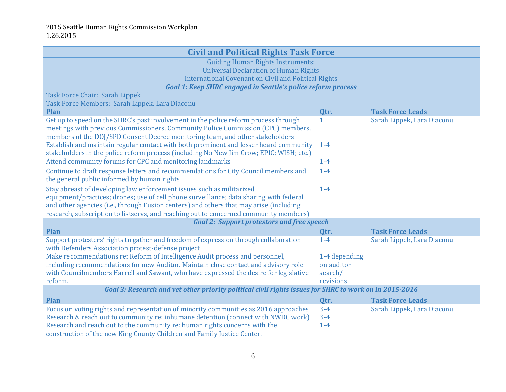| <b>Civil and Political Rights Task Force</b>                                                                                                                                                                                                                                                                                                       |               |                            |  |
|----------------------------------------------------------------------------------------------------------------------------------------------------------------------------------------------------------------------------------------------------------------------------------------------------------------------------------------------------|---------------|----------------------------|--|
| <b>Guiding Human Rights Instruments:</b>                                                                                                                                                                                                                                                                                                           |               |                            |  |
| <b>Universal Declaration of Human Rights</b>                                                                                                                                                                                                                                                                                                       |               |                            |  |
| <b>International Covenant on Civil and Political Rights</b>                                                                                                                                                                                                                                                                                        |               |                            |  |
| <b>Goal 1: Keep SHRC engaged in Seattle's police reform process</b>                                                                                                                                                                                                                                                                                |               |                            |  |
| Task Force Chair: Sarah Lippek                                                                                                                                                                                                                                                                                                                     |               |                            |  |
| Task Force Members: Sarah Lippek, Lara Diaconu<br><b>Plan</b>                                                                                                                                                                                                                                                                                      | Qtr.          | <b>Task Force Leads</b>    |  |
| Get up to speed on the SHRC's past involvement in the police reform process through                                                                                                                                                                                                                                                                | 1             | Sarah Lippek, Lara Diaconu |  |
| meetings with previous Commissioners, Community Police Commission (CPC) members,<br>members of the DOJ/SPD Consent Decree monitoring team, and other stakeholders                                                                                                                                                                                  |               |                            |  |
| Establish and maintain regular contact with both prominent and lesser heard community<br>stakeholders in the police reform process (including No New Jim Crow; EPIC; WISH; etc.)                                                                                                                                                                   | $1 - 4$       |                            |  |
| Attend community forums for CPC and monitoring landmarks                                                                                                                                                                                                                                                                                           | $1-4$         |                            |  |
| Continue to draft response letters and recommendations for City Council members and<br>the general public informed by human rights                                                                                                                                                                                                                 | $1-4$         |                            |  |
| Stay abreast of developing law enforcement issues such as militarized<br>equipment/practices; drones; use of cell phone surveillance; data sharing with federal<br>and other agencies (i.e., through Fusion centers) and others that may arise (including<br>research, subscription to listservs, and reaching out to concerned community members) | $1-4$         |                            |  |
| <b>Goal 2: Support protestors and free speech</b>                                                                                                                                                                                                                                                                                                  |               |                            |  |
| <b>Plan</b>                                                                                                                                                                                                                                                                                                                                        | Qtr.          | <b>Task Force Leads</b>    |  |
| Support protesters' rights to gather and freedom of expression through collaboration<br>with Defenders Association protest-defense project                                                                                                                                                                                                         | $1-4$         | Sarah Lippek, Lara Diaconu |  |
| Make recommendations re: Reform of Intelligence Audit process and personnel,                                                                                                                                                                                                                                                                       | 1-4 depending |                            |  |
| including recommendations for new Auditor. Maintain close contact and advisory role                                                                                                                                                                                                                                                                | on auditor    |                            |  |
| with Councilmembers Harrell and Sawant, who have expressed the desire for legislative                                                                                                                                                                                                                                                              | search/       |                            |  |
| reform.                                                                                                                                                                                                                                                                                                                                            | revisions     |                            |  |
| Goal 3: Research and vet other priority political civil rights issues for SHRC to work on in 2015-2016                                                                                                                                                                                                                                             |               |                            |  |
| <b>Plan</b>                                                                                                                                                                                                                                                                                                                                        | Qtr.          | <b>Task Force Leads</b>    |  |
| Focus on voting rights and representation of minority communities as 2016 approaches                                                                                                                                                                                                                                                               | $3 - 4$       | Sarah Lippek, Lara Diaconu |  |
| Research & reach out to community re: inhumane detention (connect with NWDC work)                                                                                                                                                                                                                                                                  | $3 - 4$       |                            |  |
| Research and reach out to the community re: human rights concerns with the<br>$1-4$                                                                                                                                                                                                                                                                |               |                            |  |
| construction of the new King County Children and Family Justice Center.                                                                                                                                                                                                                                                                            |               |                            |  |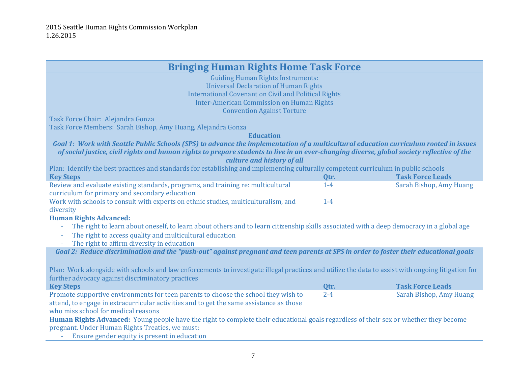| <b>Bringing Human Rights Home Task Force</b>                                                                                                       |                                                  |                         |  |
|----------------------------------------------------------------------------------------------------------------------------------------------------|--------------------------------------------------|-------------------------|--|
| <b>Guiding Human Rights Instruments:</b>                                                                                                           |                                                  |                         |  |
| <b>Universal Declaration of Human Rights</b>                                                                                                       |                                                  |                         |  |
| <b>International Covenant on Civil and Political Rights</b>                                                                                        |                                                  |                         |  |
|                                                                                                                                                    | <b>Inter-American Commission on Human Rights</b> |                         |  |
| <b>Convention Against Torture</b>                                                                                                                  |                                                  |                         |  |
| Task Force Chair: Alejandra Gonza                                                                                                                  |                                                  |                         |  |
| Task Force Members: Sarah Bishop, Amy Huang, Alejandra Gonza                                                                                       |                                                  |                         |  |
| <b>Education</b>                                                                                                                                   |                                                  |                         |  |
| Goal 1: Work with Seattle Public Schools (SPS) to advance the implementation of a multicultural education curriculum rooted in issues              |                                                  |                         |  |
| of social justice, civil rights and human rights to prepare students to live in an ever-changing diverse, global society reflective of the         |                                                  |                         |  |
| culture and history of all                                                                                                                         |                                                  |                         |  |
| Plan: Identify the best practices and standards for establishing and implementing culturally competent curriculum in public schools                |                                                  |                         |  |
| <b>Key Steps</b>                                                                                                                                   | Qtr.                                             | <b>Task Force Leads</b> |  |
| Review and evaluate existing standards, programs, and training re: multicultural                                                                   | $1 - 4$                                          | Sarah Bishop, Amy Huang |  |
| curriculum for primary and secondary education                                                                                                     |                                                  |                         |  |
| Work with schools to consult with experts on ethnic studies, multiculturalism, and                                                                 | $1-4$                                            |                         |  |
| diversity                                                                                                                                          |                                                  |                         |  |
| <b>Human Rights Advanced:</b>                                                                                                                      |                                                  |                         |  |
| The right to learn about oneself, to learn about others and to learn citizenship skills associated with a deep democracy in a global age           |                                                  |                         |  |
| The right to access quality and multicultural education                                                                                            |                                                  |                         |  |
| The right to affirm diversity in education                                                                                                         |                                                  |                         |  |
| Goal 2: Reduce discrimination and the "push-out" against pregnant and teen parents at SPS in order to foster their educational goals               |                                                  |                         |  |
|                                                                                                                                                    |                                                  |                         |  |
| Plan: Work alongside with schools and law enforcements to investigate illegal practices and utilize the data to assist with ongoing litigation for |                                                  |                         |  |
| further advocacy against discriminatory practices                                                                                                  |                                                  |                         |  |
|                                                                                                                                                    |                                                  | <b>Task Force Leads</b> |  |
| <b>Key Steps</b>                                                                                                                                   | Qtr.<br>$2 - 4$                                  |                         |  |
| Promote supportive environments for teen parents to choose the school they wish to                                                                 |                                                  | Sarah Bishop, Amy Huang |  |
| attend, to engage in extracurricular activities and to get the same assistance as those<br>who miss school for medical reasons                     |                                                  |                         |  |
|                                                                                                                                                    |                                                  |                         |  |
| Human Rights Advanced: Young people have the right to complete their educational goals regardless of their sex or whether they become              |                                                  |                         |  |
| pregnant. Under Human Rights Treaties, we must:                                                                                                    |                                                  |                         |  |
| Ensure gender equity is present in education                                                                                                       |                                                  |                         |  |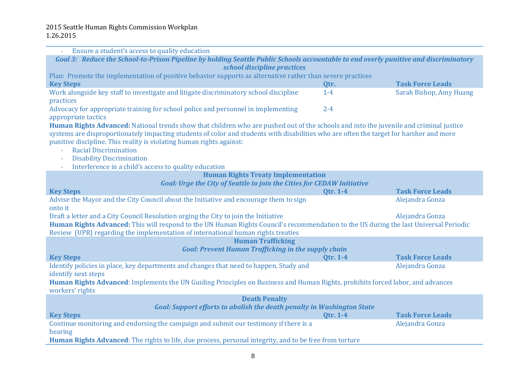| Ensure a student's access to quality education                                                                                          |                 |                         |  |
|-----------------------------------------------------------------------------------------------------------------------------------------|-----------------|-------------------------|--|
| Goal 3: Reduce the School-to-Prison Pipeline by holding Seattle Public Schools accountable to end overly punitive and discriminatory    |                 |                         |  |
| school discipline practices                                                                                                             |                 |                         |  |
| Plan: Promote the implementation of positive behavior supports as alternative rather than severe practices                              |                 |                         |  |
| <b>Key Steps</b>                                                                                                                        | Qtr.            | <b>Task Force Leads</b> |  |
| Work alongside key staff to investigate and litigate discriminatory school discipline                                                   | $1-4$           | Sarah Bishop, Amy Huang |  |
| practices                                                                                                                               |                 |                         |  |
| Advocacy for appropriate training for school police and personnel in implementing                                                       | $2 - 4$         |                         |  |
| appropriate tactics                                                                                                                     |                 |                         |  |
| Human Rights Advanced: National trends show that children who are pushed out of the schools and into the juvenile and criminal justice  |                 |                         |  |
| systems are disproportionately impacting students of color and students with disabilities who are often the target for harsher and more |                 |                         |  |
| punitive discipline. This reality is violating human rights against:                                                                    |                 |                         |  |
| <b>Racial Discrimination</b>                                                                                                            |                 |                         |  |
| <b>Disability Discrimination</b><br>Interference in a child's access to quality education                                               |                 |                         |  |
| <b>Human Rights Treaty Implementation</b>                                                                                               |                 |                         |  |
| <b>Goal: Urge the City of Seattle to join the Cities for CEDAW Initiative</b>                                                           |                 |                         |  |
| <b>Key Steps</b>                                                                                                                        | <b>Qtr. 1-4</b> | <b>Task Force Leads</b> |  |
| Advise the Mayor and the City Council about the Initiative and encourage them to sign                                                   |                 | Alejandra Gonza         |  |
| onto it                                                                                                                                 |                 |                         |  |
| Draft a letter and a City Council Resolution urging the City to join the Initiative                                                     |                 | Alejandra Gonza         |  |
| Human Rights Advanced: This will respond to the UN Human Rights Council's recommendation to the US during the last Universal Periodic   |                 |                         |  |
| Review (UPR) regarding the implementation of international human rights treaties                                                        |                 |                         |  |
| <b>Human Trafficking</b>                                                                                                                |                 |                         |  |
| <b>Goal: Prevent Human Trafficking in the supply chain</b>                                                                              |                 |                         |  |
| <b>Key Steps</b>                                                                                                                        | <b>Qtr. 1-4</b> | <b>Task Force Leads</b> |  |
| Identify policies in place, key departments and changes that need to happen. Study and                                                  |                 | Alejandra Gonza         |  |
| identify next steps                                                                                                                     |                 |                         |  |
| Human Rights Advanced: Implements the UN Guiding Principles on Business and Human Rights, prohibits forced labor, and advances          |                 |                         |  |
| workers' rights                                                                                                                         |                 |                         |  |
| <b>Death Penalty</b>                                                                                                                    |                 |                         |  |
| <b>Goal: Support efforts to abolish the death penalty in Washington State</b>                                                           |                 |                         |  |
| <b>Key Steps</b>                                                                                                                        | Qtr. 1-4        | <b>Task Force Leads</b> |  |
| Continue monitoring and endorsing the campaign and submit our testimony if there is a<br>Alejandra Gonza                                |                 |                         |  |
| hearing                                                                                                                                 |                 |                         |  |
| <b>Human Rights Advanced:</b> The rights to life, due process, personal integrity, and to be free from torture                          |                 |                         |  |